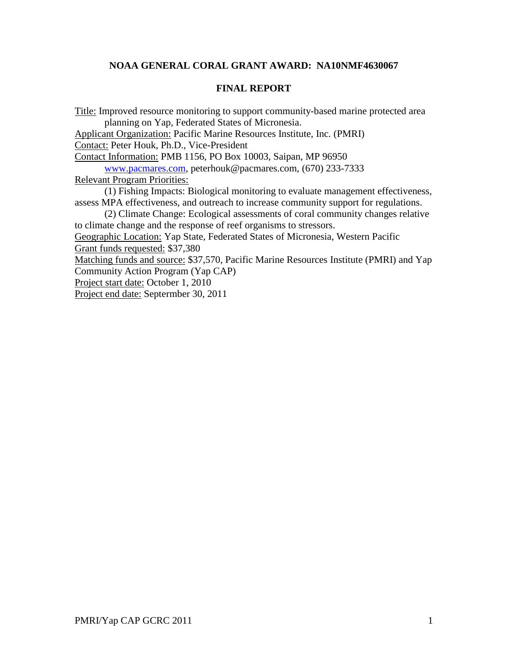## **NOAA GENERAL CORAL GRANT AWARD: NA10NMF4630067**

#### **FINAL REPORT**

Title: Improved resource monitoring to support community-based marine protected area planning on Yap, Federated States of Micronesia.

Applicant Organization: Pacific Marine Resources Institute, Inc. (PMRI) Contact: Peter Houk, Ph.D., Vice-President

Contact Information: PMB 1156, PO Box 10003, Saipan, MP 96950

[www.pacmares.com,](http://www.pacmares.com/) peterhouk@pacmares.com, (670) 233-7333

Relevant Program Priorities:

(1) Fishing Impacts: Biological monitoring to evaluate management effectiveness, assess MPA effectiveness, and outreach to increase community support for regulations.

(2) Climate Change: Ecological assessments of coral community changes relative to climate change and the response of reef organisms to stressors.

Geographic Location: Yap State, Federated States of Micronesia, Western Pacific Grant funds requested: \$37,380

Matching funds and source: \$37,570, Pacific Marine Resources Institute (PMRI) and Yap Community Action Program (Yap CAP)

Project start date: October 1, 2010

Project end date: Septermber 30, 2011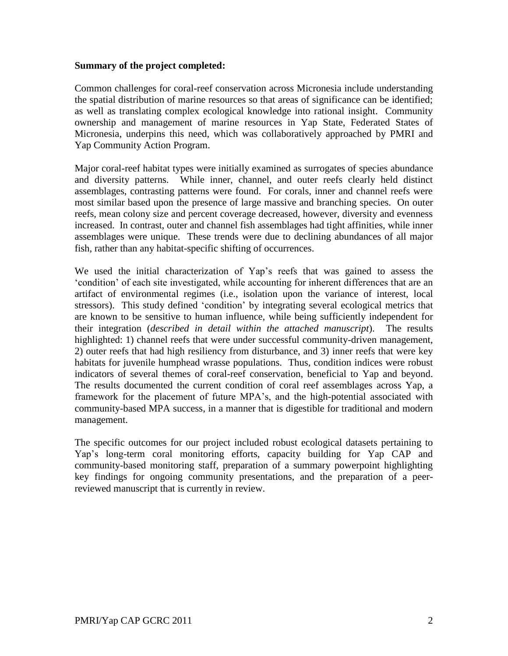#### **Summary of the project completed:**

Common challenges for coral-reef conservation across Micronesia include understanding the spatial distribution of marine resources so that areas of significance can be identified; as well as translating complex ecological knowledge into rational insight. Community ownership and management of marine resources in Yap State, Federated States of Micronesia, underpins this need, which was collaboratively approached by PMRI and Yap Community Action Program.

Major coral-reef habitat types were initially examined as surrogates of species abundance and diversity patterns. While inner, channel, and outer reefs clearly held distinct assemblages, contrasting patterns were found. For corals, inner and channel reefs were most similar based upon the presence of large massive and branching species. On outer reefs, mean colony size and percent coverage decreased, however, diversity and evenness increased. In contrast, outer and channel fish assemblages had tight affinities, while inner assemblages were unique. These trends were due to declining abundances of all major fish, rather than any habitat-specific shifting of occurrences.

We used the initial characterization of Yap"s reefs that was gained to assess the "condition" of each site investigated, while accounting for inherent differences that are an artifact of environmental regimes (i.e., isolation upon the variance of interest, local stressors). This study defined "condition" by integrating several ecological metrics that are known to be sensitive to human influence, while being sufficiently independent for their integration (*described in detail within the attached manuscript*). The results highlighted: 1) channel reefs that were under successful community-driven management, 2) outer reefs that had high resiliency from disturbance, and 3) inner reefs that were key habitats for juvenile humphead wrasse populations. Thus, condition indices were robust indicators of several themes of coral-reef conservation, beneficial to Yap and beyond. The results documented the current condition of coral reef assemblages across Yap, a framework for the placement of future MPA"s, and the high-potential associated with community-based MPA success, in a manner that is digestible for traditional and modern management.

The specific outcomes for our project included robust ecological datasets pertaining to Yap"s long-term coral monitoring efforts, capacity building for Yap CAP and community-based monitoring staff, preparation of a summary powerpoint highlighting key findings for ongoing community presentations, and the preparation of a peerreviewed manuscript that is currently in review.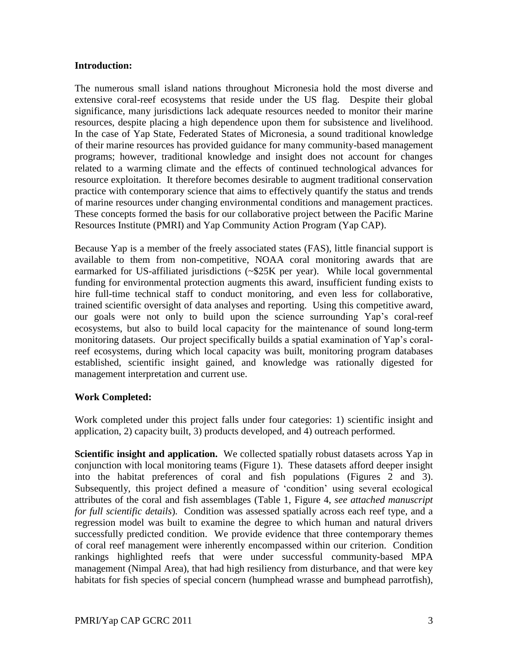### **Introduction:**

The numerous small island nations throughout Micronesia hold the most diverse and extensive coral-reef ecosystems that reside under the US flag. Despite their global significance, many jurisdictions lack adequate resources needed to monitor their marine resources, despite placing a high dependence upon them for subsistence and livelihood. In the case of Yap State, Federated States of Micronesia, a sound traditional knowledge of their marine resources has provided guidance for many community-based management programs; however, traditional knowledge and insight does not account for changes related to a warming climate and the effects of continued technological advances for resource exploitation. It therefore becomes desirable to augment traditional conservation practice with contemporary science that aims to effectively quantify the status and trends of marine resources under changing environmental conditions and management practices. These concepts formed the basis for our collaborative project between the Pacific Marine Resources Institute (PMRI) and Yap Community Action Program (Yap CAP).

Because Yap is a member of the freely associated states (FAS), little financial support is available to them from non-competitive, NOAA coral monitoring awards that are earmarked for US-affiliated jurisdictions (~\$25K per year). While local governmental funding for environmental protection augments this award, insufficient funding exists to hire full-time technical staff to conduct monitoring, and even less for collaborative, trained scientific oversight of data analyses and reporting. Using this competitive award, our goals were not only to build upon the science surrounding Yap"s coral-reef ecosystems, but also to build local capacity for the maintenance of sound long-term monitoring datasets. Our project specifically builds a spatial examination of Yap"s coralreef ecosystems, during which local capacity was built, monitoring program databases established, scientific insight gained, and knowledge was rationally digested for management interpretation and current use.

## **Work Completed:**

Work completed under this project falls under four categories: 1) scientific insight and application, 2) capacity built, 3) products developed, and 4) outreach performed.

**Scientific insight and application.** We collected spatially robust datasets across Yap in conjunction with local monitoring teams (Figure 1). These datasets afford deeper insight into the habitat preferences of coral and fish populations (Figures 2 and 3). Subsequently, this project defined a measure of "condition" using several ecological attributes of the coral and fish assemblages (Table 1, Figure 4, *see attached manuscript for full scientific details*). Condition was assessed spatially across each reef type, and a regression model was built to examine the degree to which human and natural drivers successfully predicted condition. We provide evidence that three contemporary themes of coral reef management were inherently encompassed within our criterion. Condition rankings highlighted reefs that were under successful community-based MPA management (Nimpal Area), that had high resiliency from disturbance, and that were key habitats for fish species of special concern (humphead wrasse and bumphead parrotfish),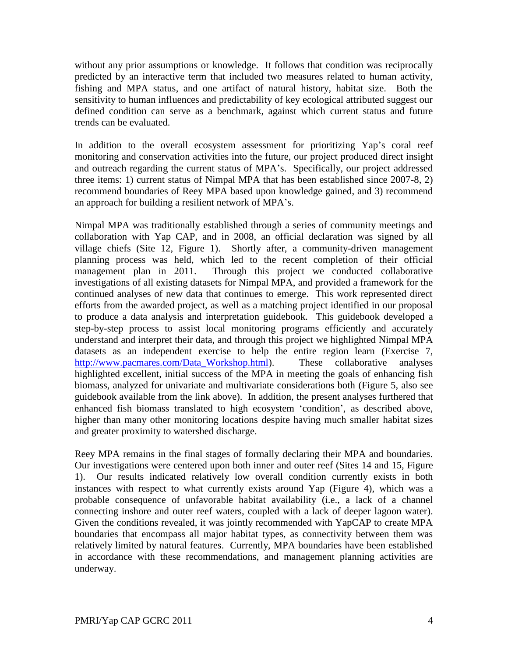without any prior assumptions or knowledge. It follows that condition was reciprocally predicted by an interactive term that included two measures related to human activity, fishing and MPA status, and one artifact of natural history, habitat size. Both the sensitivity to human influences and predictability of key ecological attributed suggest our defined condition can serve as a benchmark, against which current status and future trends can be evaluated.

In addition to the overall ecosystem assessment for prioritizing Yap's coral reef monitoring and conservation activities into the future, our project produced direct insight and outreach regarding the current status of MPA"s. Specifically, our project addressed three items: 1) current status of Nimpal MPA that has been established since 2007-8, 2) recommend boundaries of Reey MPA based upon knowledge gained, and 3) recommend an approach for building a resilient network of MPA"s.

Nimpal MPA was traditionally established through a series of community meetings and collaboration with Yap CAP, and in 2008, an official declaration was signed by all village chiefs (Site 12, Figure 1). Shortly after, a community-driven management planning process was held, which led to the recent completion of their official management plan in 2011. Through this project we conducted collaborative investigations of all existing datasets for Nimpal MPA, and provided a framework for the continued analyses of new data that continues to emerge. This work represented direct efforts from the awarded project, as well as a matching project identified in our proposal to produce a data analysis and interpretation guidebook. This guidebook developed a step-by-step process to assist local monitoring programs efficiently and accurately understand and interpret their data, and through this project we highlighted Nimpal MPA datasets as an independent exercise to help the entire region learn (Exercise 7, http://www.pacmares.com/Data Workshop.html). These collaborative analyses highlighted excellent, initial success of the MPA in meeting the goals of enhancing fish biomass, analyzed for univariate and multivariate considerations both (Figure 5, also see guidebook available from the link above). In addition, the present analyses furthered that enhanced fish biomass translated to high ecosystem "condition", as described above, higher than many other monitoring locations despite having much smaller habitat sizes and greater proximity to watershed discharge.

Reey MPA remains in the final stages of formally declaring their MPA and boundaries. Our investigations were centered upon both inner and outer reef (Sites 14 and 15, Figure 1). Our results indicated relatively low overall condition currently exists in both instances with respect to what currently exists around Yap (Figure 4), which was a probable consequence of unfavorable habitat availability (i.e., a lack of a channel connecting inshore and outer reef waters, coupled with a lack of deeper lagoon water). Given the conditions revealed, it was jointly recommended with YapCAP to create MPA boundaries that encompass all major habitat types, as connectivity between them was relatively limited by natural features. Currently, MPA boundaries have been established in accordance with these recommendations, and management planning activities are underway.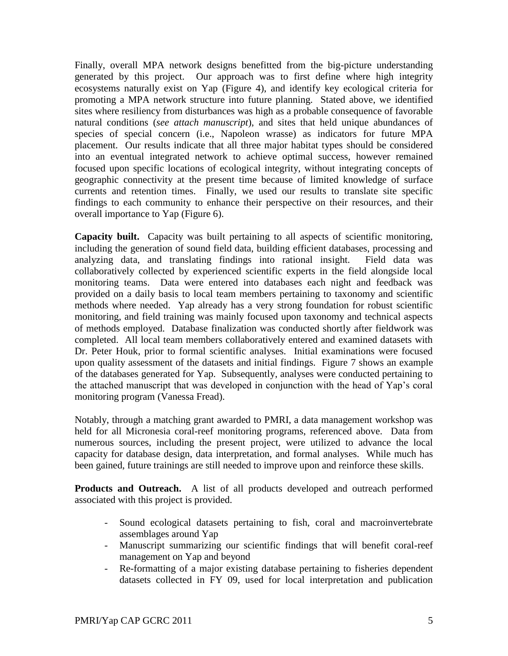Finally, overall MPA network designs benefitted from the big-picture understanding generated by this project. Our approach was to first define where high integrity ecosystems naturally exist on Yap (Figure 4), and identify key ecological criteria for promoting a MPA network structure into future planning. Stated above, we identified sites where resiliency from disturbances was high as a probable consequence of favorable natural conditions (*see attach manuscript*), and sites that held unique abundances of species of special concern (i.e., Napoleon wrasse) as indicators for future MPA placement. Our results indicate that all three major habitat types should be considered into an eventual integrated network to achieve optimal success, however remained focused upon specific locations of ecological integrity, without integrating concepts of geographic connectivity at the present time because of limited knowledge of surface currents and retention times. Finally, we used our results to translate site specific findings to each community to enhance their perspective on their resources, and their overall importance to Yap (Figure 6).

**Capacity built.** Capacity was built pertaining to all aspects of scientific monitoring, including the generation of sound field data, building efficient databases, processing and analyzing data, and translating findings into rational insight. Field data was collaboratively collected by experienced scientific experts in the field alongside local monitoring teams. Data were entered into databases each night and feedback was provided on a daily basis to local team members pertaining to taxonomy and scientific methods where needed. Yap already has a very strong foundation for robust scientific monitoring, and field training was mainly focused upon taxonomy and technical aspects of methods employed. Database finalization was conducted shortly after fieldwork was completed. All local team members collaboratively entered and examined datasets with Dr. Peter Houk, prior to formal scientific analyses. Initial examinations were focused upon quality assessment of the datasets and initial findings. Figure 7 shows an example of the databases generated for Yap. Subsequently, analyses were conducted pertaining to the attached manuscript that was developed in conjunction with the head of Yap"s coral monitoring program (Vanessa Fread).

Notably, through a matching grant awarded to PMRI, a data management workshop was held for all Micronesia coral-reef monitoring programs, referenced above. Data from numerous sources, including the present project, were utilized to advance the local capacity for database design, data interpretation, and formal analyses. While much has been gained, future trainings are still needed to improve upon and reinforce these skills.

**Products and Outreach.** A list of all products developed and outreach performed associated with this project is provided.

- Sound ecological datasets pertaining to fish, coral and macroinvertebrate assemblages around Yap
- Manuscript summarizing our scientific findings that will benefit coral-reef management on Yap and beyond
- Re-formatting of a major existing database pertaining to fisheries dependent datasets collected in FY 09, used for local interpretation and publication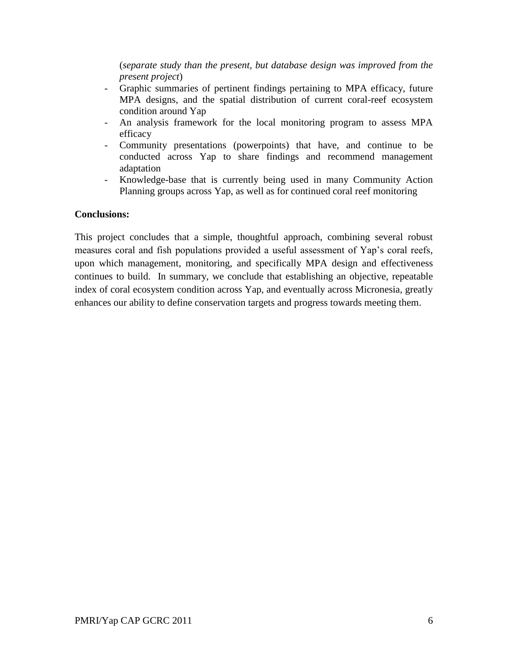(*separate study than the present, but database design was improved from the present project*)

- Graphic summaries of pertinent findings pertaining to MPA efficacy, future MPA designs, and the spatial distribution of current coral-reef ecosystem condition around Yap
- An analysis framework for the local monitoring program to assess MPA efficacy
- Community presentations (powerpoints) that have, and continue to be conducted across Yap to share findings and recommend management adaptation
- Knowledge-base that is currently being used in many Community Action Planning groups across Yap, as well as for continued coral reef monitoring

# **Conclusions:**

This project concludes that a simple, thoughtful approach, combining several robust measures coral and fish populations provided a useful assessment of Yap's coral reefs, upon which management, monitoring, and specifically MPA design and effectiveness continues to build. In summary, we conclude that establishing an objective, repeatable index of coral ecosystem condition across Yap, and eventually across Micronesia, greatly enhances our ability to define conservation targets and progress towards meeting them.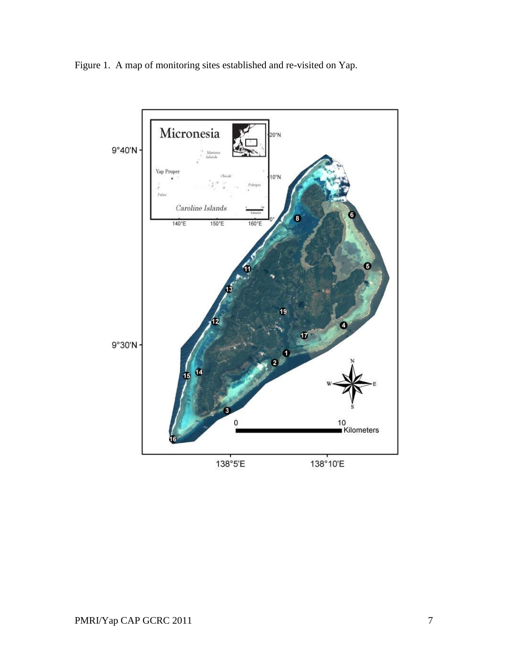Figure 1. A map of monitoring sites established and re-visited on Yap.

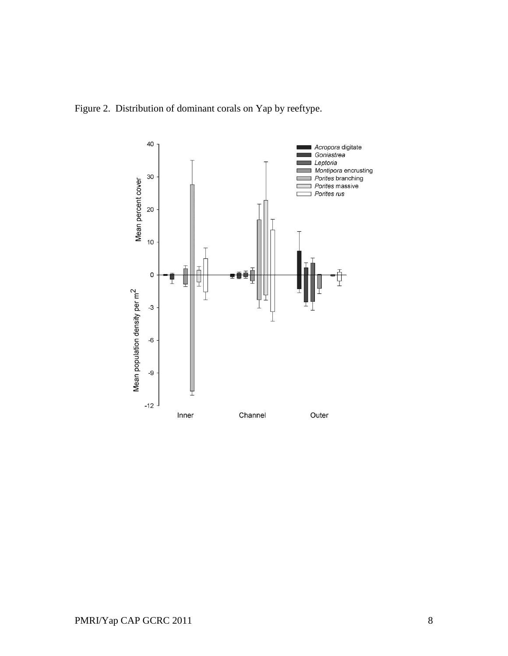Figure 2. Distribution of dominant corals on Yap by reeftype.

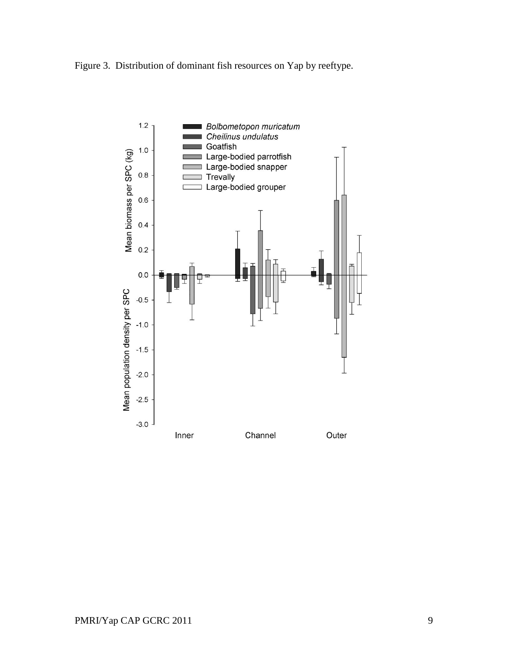

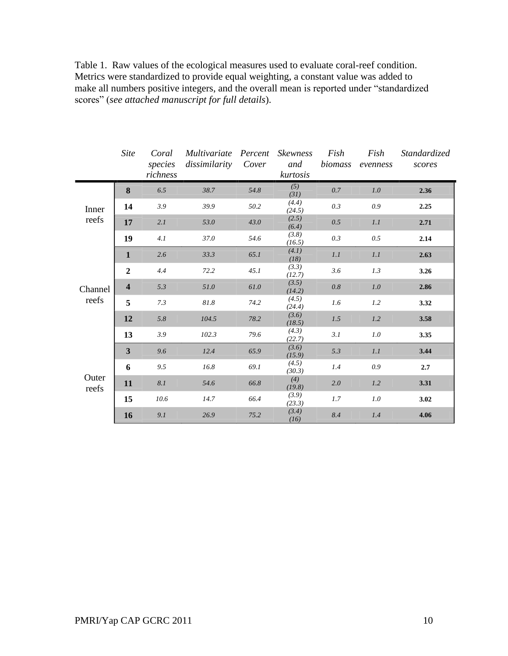|                | Site                    | Coral<br>species<br>richness | Multivariate<br>dissimilarity | Percent<br>Cover | <i>Skewness</i><br>and<br>kurtosis | Fish<br>biomass | Fish<br>evenness | Standardized<br>scores |
|----------------|-------------------------|------------------------------|-------------------------------|------------------|------------------------------------|-----------------|------------------|------------------------|
|                | 8                       | 6.5                          | 38.7                          | 54.8             | (5)<br>(31)                        | 0.7             | 1.0              | 2.36                   |
| Inner          | 14                      | 3.9                          | 39.9                          | 50.2             | (4.4)<br>(24.5)                    | 0.3             | 0.9              | 2.25                   |
| reefs          | 17                      | 2.I                          | 53.0                          | 43.0             | (2.5)<br>(6.4)                     | 0.5             | 1.1              | 2.71                   |
|                | 19                      | 4.1                          | $37.0\,$                      | 54.6             | (3.8)<br>(16.5)                    | 0.3             | 0.5              | 2.14                   |
|                | 1                       | 2.6                          | 33.3                          | 65.1             | (4.1)<br>(18)                      | 1.1             | 1.1              | 2.63                   |
|                | $\overline{2}$          | 4.4                          | 72.2                          | 45.1             | (3.3)<br>(12.7)                    | 3.6             | 1.3              | 3.26                   |
| Channel        | $\overline{\mathbf{4}}$ | 5.3                          | 51.0                          | 61.0             | (3.5)<br>(14.2)                    | $0.8\,$         | 1.0              | 2.86                   |
| reefs          | 5                       | 7.3                          | $81.8\,$                      | 74.2             | (4.5)<br>(24.4)                    | 1.6             | 1.2              | 3.32                   |
|                | 12                      | $5.8\,$                      | 104.5                         | 78.2             | (3.6)<br>(18.5)                    | 1.5             | 1.2              | 3.58                   |
|                | 13                      | 3.9                          | 102.3                         | 79.6             | (4.3)<br>(22.7)                    | 3.1             | 1.0              | 3.35                   |
|                | 3                       | 9.6                          | 12.4                          | 65.9             | (3.6)<br>(15.9)                    | 5.3             | 1.1              | 3.44                   |
|                | 6                       | 9.5                          | 16.8                          | 69.1             | (4.5)<br>(30.3)                    | 1.4             | 0.9              | 2.7                    |
| Outer<br>reefs | 11                      | 8.1                          | 54.6                          | 66.8             | (4)<br>(19.8)                      | 2.0             | 1.2              | 3.31                   |
|                | 15                      | 10.6                         | 14.7                          | 66.4             | (3.9)<br>(23.3)                    | 1.7             | 1.0              | 3.02                   |
|                | 16                      | 9.1                          | 26.9                          | 75.2             | (3.4)<br>(16)                      | 8.4             | 1.4              | 4.06                   |

Table 1. Raw values of the ecological measures used to evaluate coral-reef condition. Metrics were standardized to provide equal weighting, a constant value was added to make all numbers positive integers, and the overall mean is reported under "standardized scores" (*see attached manuscript for full details*).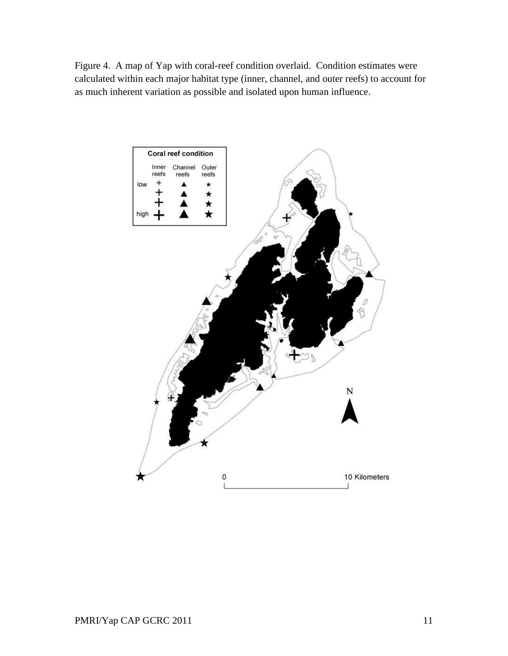Figure 4. A map of Yap with coral-reef condition overlaid. Condition estimates were calculated within each major habitat type (inner, channel, and outer reefs) to account for as much inherent variation as possible and isolated upon human influence.

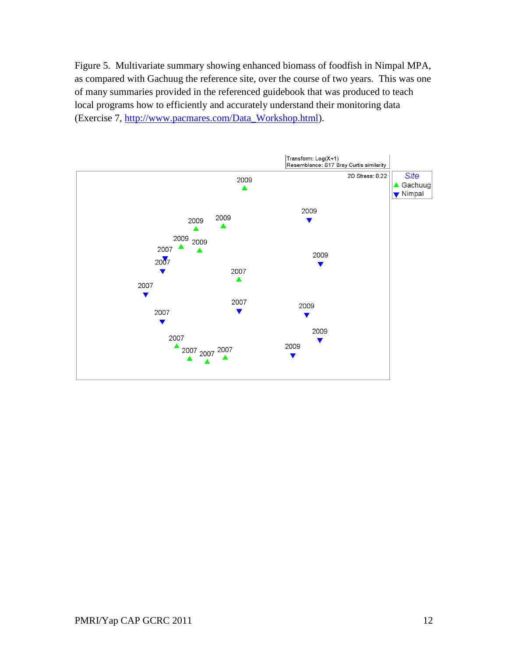Figure 5. Multivariate summary showing enhanced biomass of foodfish in Nimpal MPA, as compared with Gachuug the reference site, over the course of two years. This was one of many summaries provided in the referenced guidebook that was produced to teach local programs how to efficiently and accurately understand their monitoring data (Exercise 7, [http://www.pacmares.com/Data\\_Workshop.html\)](http://www.pacmares.com/Data_Workshop.html).

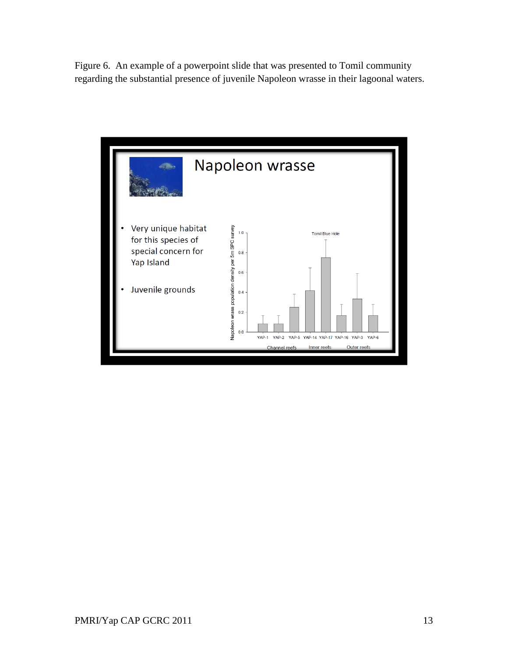Figure 6. An example of a powerpoint slide that was presented to Tomil community regarding the substantial presence of juvenile Napoleon wrasse in their lagoonal waters.